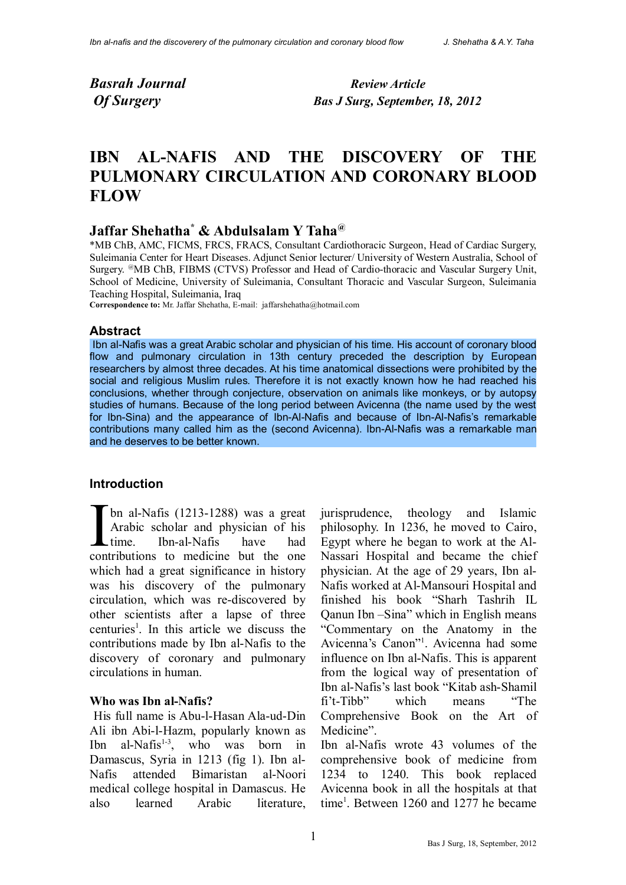*Basrah Journal Review Article*

 *Of Surgery Bas J Surg, September, 18, 2012*

# **IBN AL-NAFIS AND THE DISCOVERY OF THE PULMONARY CIRCULATION AND CORONARY BLOOD FLOW**

## **Jaffar Shehatha\* & Abdulsalam Y Taha@**

\*MB ChB, AMC, FICMS, FRCS, FRACS, Consultant Cardiothoracic Surgeon, Head of Cardiac Surgery, Suleimania Center for Heart Diseases. Adjunct Senior lecturer/ University of Western Australia, School of Surgery. @MB ChB, FIBMS (CTVS) Professor and Head of Cardio-thoracic and Vascular Surgery Unit, School of Medicine, University of Suleimania, Consultant Thoracic and Vascular Surgeon, Suleimania Teaching Hospital, Suleimania, Iraq

**Correspondence to:** Mr. Jaffar Shehatha, E-mail: jaffarshehatha@hotmail.com

#### **Abstract**

 Ibn al-Nafis was a great Arabic scholar and physician of his time. His account of coronary blood flow and pulmonary circulation in 13th century preceded the description by European researchers by almost three decades. At his time anatomical dissections were prohibited by the social and religious Muslim rules. Therefore it is not exactly known how he had reached his conclusions, whether through conjecture, observation on animals like monkeys, or by autopsy studies of humans. Because of the long period between Avicenna (the name used by the west for Ibn-Sina) and the appearance of Ibn-Al-Nafis and because of Ibn-Al-Nafis's remarkable contributions many called him as the (second Avicenna). Ibn-Al-Nafis was a remarkable man and he deserves to be better known.

#### **Introduction**

bn al-Nafis (1213-1288) was a great Arabic scholar and physician of his time. Ibn-al-Nafis have had I bn al-Nafis (1213-1288) was a great<br>Arabic scholar and physician of his<br>time. Ibn-al-Nafis have had<br>contributions to medicine but the one which had a great significance in history was his discovery of the pulmonary circulation, which was re-discovered by other scientists after a lapse of three centuries<sup>1</sup>. In this article we discuss the contributions made by Ibn al-Nafis to the discovery of coronary and pulmonary circulations in human.

#### **Who was Ibn al-Nafis?**

 His full name is Abu-l-Hasan Ala-ud-Din Ali ibn Abi-l-Hazm, popularly known as Ibn al-Nafis<sup>1-3</sup>, who was born in Damascus, Syria in 1213 (fig 1). Ibn al-Nafis attended Bimaristan al-Noori medical college hospital in Damascus. He also learned Arabic literature, jurisprudence, theology and Islamic philosophy. In 1236, he moved to Cairo, Egypt where he began to work at the Al-Nassari Hospital and became the chief physician. At the age of 29 years, Ibn al-Nafis worked at Al-Mansouri Hospital and finished his book "Sharh Tashrih IL Qanun Ibn –Sina" which in English means "Commentary on the Anatomy in the Avicenna's Canon"1 . Avicenna had some influence on Ibn al-Nafis. This is apparent from the logical way of presentation of Ibn al-Nafis's last book "Kitab ash-Shamil fi't-Tibb" which means "The Comprehensive Book on the Art of Medicine".

Ibn al-Nafis wrote 43 volumes of the comprehensive book of medicine from 1234 to 1240. This book replaced Avicenna book in all the hospitals at that time<sup>1</sup>. Between 1260 and 1277 he became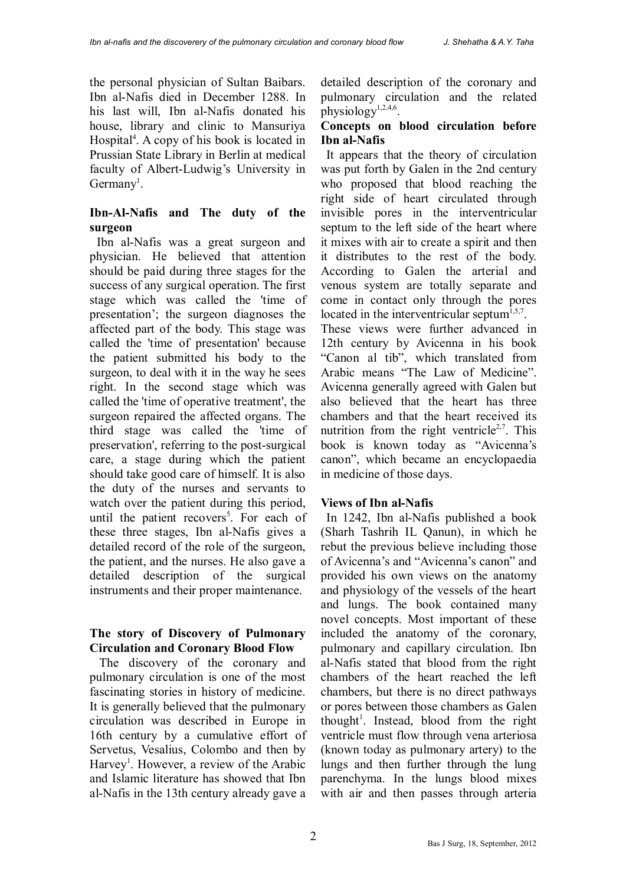the personal physician of Sultan Baibars. Ibn al-Nafis died in December 1288. In his last will, Ibn al-Nafis donated his house, library and clinic to Mansuriya Hospital<sup>4</sup>. A copy of his book is located in Prussian State Library in Berlin at medical faculty of Albert-Ludwig's University in  $Germany<sup>1</sup>$ .

## **Ibn-Al-Nafis and The duty of the surgeon**

 Ibn al-Nafis was a great surgeon and physician. He believed that attention should be paid during three stages for the success of any surgical operation. The first stage which was called the 'time of presentation'; the surgeon diagnoses the affected part of the body. This stage was called the 'time of presentation' because the patient submitted his body to the surgeon, to deal with it in the way he sees right. In the second stage which was called the 'time of operative treatment', the surgeon repaired the affected organs. The third stage was called the 'time of preservation', referring to the post-surgical care, a stage during which the patient should take good care of himself. It is also the duty of the nurses and servants to watch over the patient during this period, until the patient recovers<sup>5</sup>. For each of these three stages, Ibn al-Nafis gives a detailed record of the role of the surgeon, the patient, and the nurses. He also gave a detailed description of the surgical instruments and their proper maintenance.

## **The story of Discovery of Pulmonary Circulation and Coronary Blood Flow**

 The discovery of the coronary and pulmonary circulation is one of the most fascinating stories in history of medicine. It is generally believed that the pulmonary circulation was described in Europe in 16th century by a cumulative effort of Servetus, Vesalius, Colombo and then by Harvey<sup>1</sup>. However, a review of the Arabic and Islamic literature has showed that Ibn al-Nafis in the 13th century already gave a detailed description of the coronary and pulmonary circulation and the related physiology<sup>1,2,4,6</sup>.

#### **Concepts on blood circulation before Ibn al-Nafis**

 It appears that the theory of circulation was put forth by Galen in the 2nd century who proposed that blood reaching the right side of heart circulated through invisible pores in the interventricular septum to the left side of the heart where it mixes with air to create a spirit and then it distributes to the rest of the body. According to Galen the arterial and venous system are totally separate and come in contact only through the pores located in the interventricular septum $1,5,7$ . These views were further advanced in 12th century by Avicenna in his book

"Canon al tib", which translated from Arabic means "The Law of Medicine". Avicenna generally agreed with Galen but also believed that the heart has three chambers and that the heart received its nutrition from the right ventricle<sup>2,7</sup>. This book is known today as "Avicenna's canon", which became an encyclopaedia in medicine of those days.

## **Views of Ibn al-Nafis**

 In 1242, Ibn al-Nafis published a book (Sharh Tashrih IL Qanun), in which he rebut the previous believe including those of Avicenna's and "Avicenna's canon" and provided his own views on the anatomy and physiology of the vessels of the heart and lungs. The book contained many novel concepts. Most important of these included the anatomy of the coronary, pulmonary and capillary circulation. Ibn al-Nafis stated that blood from the right chambers of the heart reached the left chambers, but there is no direct pathways or pores between those chambers as Galen thought<sup>1</sup>. Instead, blood from the right ventricle must flow through vena arteriosa (known today as pulmonary artery) to the lungs and then further through the lung parenchyma. In the lungs blood mixes with air and then passes through arteria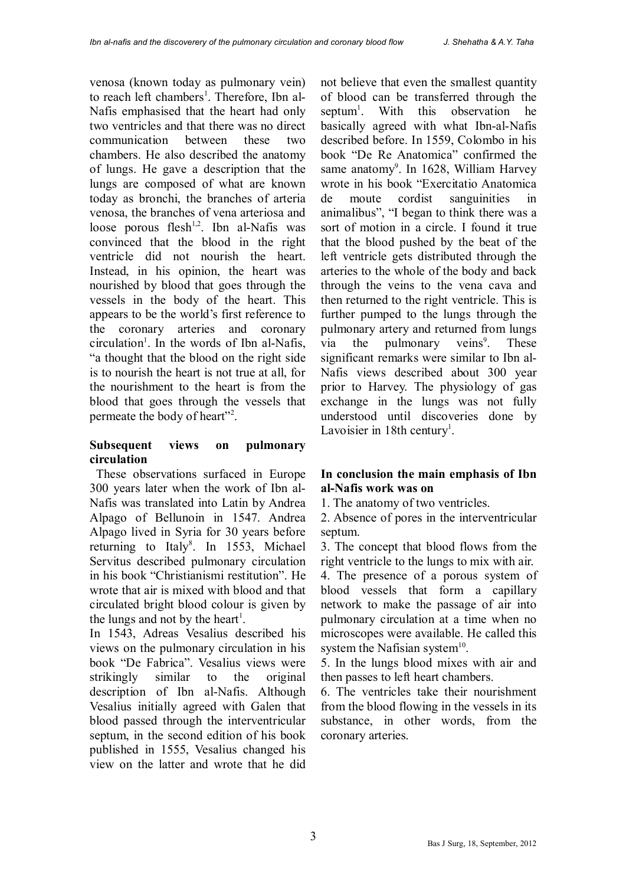venosa (known today as pulmonary vein) to reach left chambers<sup>1</sup>. Therefore, Ibn al-Nafis emphasised that the heart had only two ventricles and that there was no direct communication between these two chambers. He also described the anatomy of lungs. He gave a description that the lungs are composed of what are known today as bronchi, the branches of arteria venosa, the branches of vena arteriosa and loose porous flesh<sup>1,2</sup>. Ibn al-Nafis was convinced that the blood in the right ventricle did not nourish the heart. Instead, in his opinion, the heart was nourished by blood that goes through the vessels in the body of the heart. This appears to be the world's first reference to the coronary arteries and coronary circulation<sup>1</sup>. In the words of Ibn al-Nafis, "a thought that the blood on the right side is to nourish the heart is not true at all, for the nourishment to the heart is from the blood that goes through the vessels that permeate the body of heart"<sup>2</sup>.

## **Subsequent views on pulmonary circulation**

 These observations surfaced in Europe 300 years later when the work of Ibn al-Nafis was translated into Latin by Andrea Alpago of Bellunoin in 1547. Andrea Alpago lived in Syria for 30 years before returning to Italy<sup>8</sup>. In 1553, Michael Servitus described pulmonary circulation in his book "Christianismi restitution". He wrote that air is mixed with blood and that circulated bright blood colour is given by the lungs and not by the heart<sup>1</sup>.

In 1543, Adreas Vesalius described his views on the pulmonary circulation in his book "De Fabrica". Vesalius views were strikingly similar to the original description of Ibn al-Nafis. Although Vesalius initially agreed with Galen that blood passed through the interventricular septum, in the second edition of his book published in 1555, Vesalius changed his view on the latter and wrote that he did not believe that even the smallest quantity of blood can be transferred through the septum<sup>1</sup> With this observation he basically agreed with what Ibn-al-Nafis described before. In 1559, Colombo in his book "De Re Anatomica" confirmed the same anatomy<sup>9</sup>. In 1628, William Harvey wrote in his book "Exercitatio Anatomica de moute cordist sanguinities in animalibus", "I began to think there was a sort of motion in a circle. I found it true that the blood pushed by the beat of the left ventricle gets distributed through the arteries to the whole of the body and back through the veins to the vena cava and then returned to the right ventricle. This is further pumped to the lungs through the pulmonary artery and returned from lungs via the pulmonary veins<sup>9</sup>. . These significant remarks were similar to Ibn al-Nafis views described about 300 year prior to Harvey. The physiology of gas exchange in the lungs was not fully understood until discoveries done by Lavoisier in 18th century<sup>1</sup>.

## **In conclusion the main emphasis of Ibn al-Nafis work was on**

1. The anatomy of two ventricles.

2. Absence of pores in the interventricular septum.

3. The concept that blood flows from the right ventricle to the lungs to mix with air.

4. The presence of a porous system of blood vessels that form a capillary network to make the passage of air into pulmonary circulation at a time when no microscopes were available. He called this system the Nafisian system $10$ .

5. In the lungs blood mixes with air and then passes to left heart chambers.

6. The ventricles take their nourishment from the blood flowing in the vessels in its substance, in other words, from the coronary arteries.